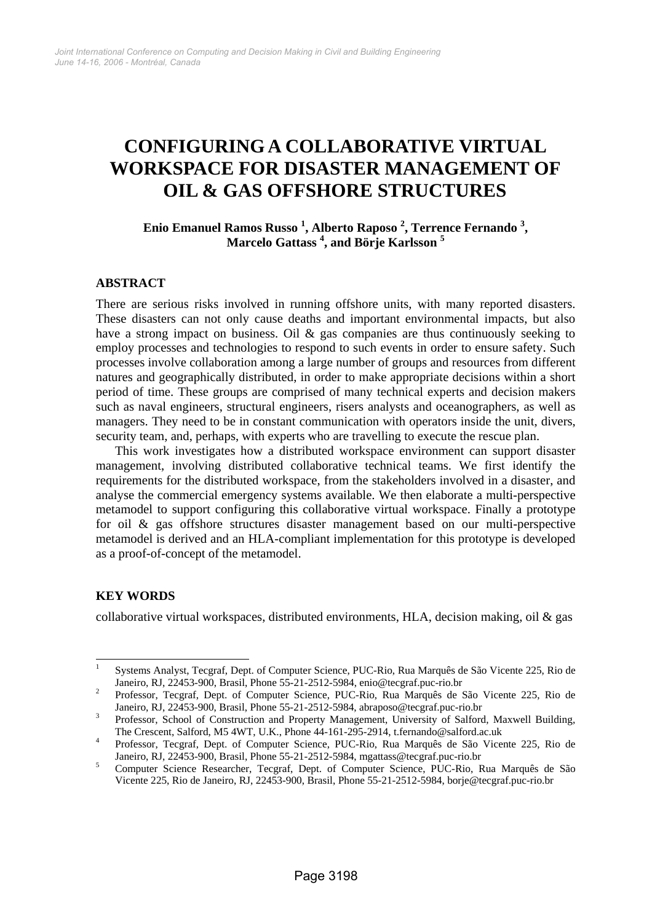# **CONFIGURING A COLLABORATIVE VIRTUAL WORKSPACE FOR DISASTER MANAGEMENT OF OIL & GAS OFFSHORE STRUCTURES**

# **Enio Emanuel Ramos Russo 1 , Alberto Raposo 2 , Terrence Fernando 3 , Marcelo Gattass 4 , and Börje Karlsson <sup>5</sup>**

# **ABSTRACT**

There are serious risks involved in running offshore units, with many reported disasters. These disasters can not only cause deaths and important environmental impacts, but also have a strong impact on business. Oil & gas companies are thus continuously seeking to employ processes and technologies to respond to such events in order to ensure safety. Such processes involve collaboration among a large number of groups and resources from different natures and geographically distributed, in order to make appropriate decisions within a short period of time. These groups are comprised of many technical experts and decision makers such as naval engineers, structural engineers, risers analysts and oceanographers, as well as managers. They need to be in constant communication with operators inside the unit, divers, security team, and, perhaps, with experts who are travelling to execute the rescue plan.

This work investigates how a distributed workspace environment can support disaster management, involving distributed collaborative technical teams. We first identify the requirements for the distributed workspace, from the stakeholders involved in a disaster, and analyse the commercial emergency systems available. We then elaborate a multi-perspective metamodel to support configuring this collaborative virtual workspace. Finally a prototype for oil & gas offshore structures disaster management based on our multi-perspective metamodel is derived and an HLA-compliant implementation for this prototype is developed as a proof-of-concept of the metamodel.

# **KEY WORDS**

collaborative virtual workspaces, distributed environments, HLA, decision making, oil  $\&$  gas

 $\frac{1}{1}$  Systems Analyst, Tecgraf, Dept. of Computer Science, PUC-Rio, Rua Marquês de São Vicente 225, Rio de Janeiro, RJ, 22453-900, Brasil, Phone 55-21-2512-5984, enio@tecgraf.puc-rio.br 2

Professor, Tecgraf, Dept. of Computer Science, PUC-Rio, Rua Marquês de São Vicente 225, Rio de Janeiro, RJ, 22453-900, Brasil, Phone 55-21-2512-5984, abraposo@tecgraf.puc-rio.br 3

Professor, School of Construction and Property Management, University of Salford, Maxwell Building, The Crescent, Salford, M5 4WT, U.K., Phone 44-161-295-2914, t.fernando@salford.ac.uk 4

Professor, Tecgraf, Dept. of Computer Science, PUC-Rio, Rua Marquês de São Vicente 225, Rio de Janeiro, RJ, 22453-900, Brasil, Phone 55-21-2512-5984, mgattass@tecgraf.puc-rio.br 5

Computer Science Researcher, Tecgraf, Dept. of Computer Science, PUC-Rio, Rua Marquês de São Vicente 225, Rio de Janeiro, RJ, 22453-900, Brasil, Phone 55-21-2512-5984, borje@tecgraf.puc-rio.br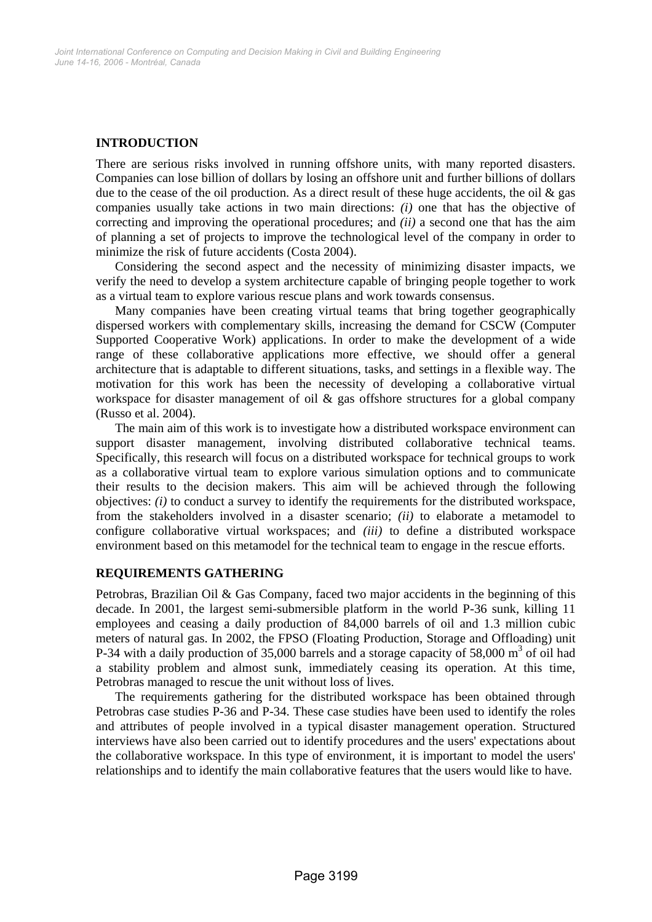# **INTRODUCTION**

There are serious risks involved in running offshore units, with many reported disasters. Companies can lose billion of dollars by losing an offshore unit and further billions of dollars due to the cease of the oil production. As a direct result of these huge accidents, the oil  $\&$  gas companies usually take actions in two main directions: *(i)* one that has the objective of correcting and improving the operational procedures; and *(ii)* a second one that has the aim of planning a set of projects to improve the technological level of the company in order to minimize the risk of future accidents (Costa 2004).

Considering the second aspect and the necessity of minimizing disaster impacts, we verify the need to develop a system architecture capable of bringing people together to work as a virtual team to explore various rescue plans and work towards consensus.

Many companies have been creating virtual teams that bring together geographically dispersed workers with complementary skills, increasing the demand for CSCW (Computer Supported Cooperative Work) applications. In order to make the development of a wide range of these collaborative applications more effective, we should offer a general architecture that is adaptable to different situations, tasks, and settings in a flexible way. The motivation for this work has been the necessity of developing a collaborative virtual workspace for disaster management of oil  $\&$  gas offshore structures for a global company (Russo et al. 2004).

The main aim of this work is to investigate how a distributed workspace environment can support disaster management, involving distributed collaborative technical teams. Specifically, this research will focus on a distributed workspace for technical groups to work as a collaborative virtual team to explore various simulation options and to communicate their results to the decision makers. This aim will be achieved through the following objectives: *(i)* to conduct a survey to identify the requirements for the distributed workspace, from the stakeholders involved in a disaster scenario; *(ii)* to elaborate a metamodel to configure collaborative virtual workspaces; and *(iii)* to define a distributed workspace environment based on this metamodel for the technical team to engage in the rescue efforts.

# **REQUIREMENTS GATHERING**

Petrobras, Brazilian Oil & Gas Company, faced two major accidents in the beginning of this decade. In 2001, the largest semi-submersible platform in the world P-36 sunk, killing 11 employees and ceasing a daily production of 84,000 barrels of oil and 1.3 million cubic meters of natural gas. In 2002, the FPSO (Floating Production, Storage and Offloading) unit P-34 with a daily production of 35,000 barrels and a storage capacity of 58,000  $\text{m}^3$  of oil had a stability problem and almost sunk, immediately ceasing its operation. At this time, Petrobras managed to rescue the unit without loss of lives.

The requirements gathering for the distributed workspace has been obtained through Petrobras case studies P-36 and P-34. These case studies have been used to identify the roles and attributes of people involved in a typical disaster management operation. Structured interviews have also been carried out to identify procedures and the users' expectations about the collaborative workspace. In this type of environment, it is important to model the users' relationships and to identify the main collaborative features that the users would like to have.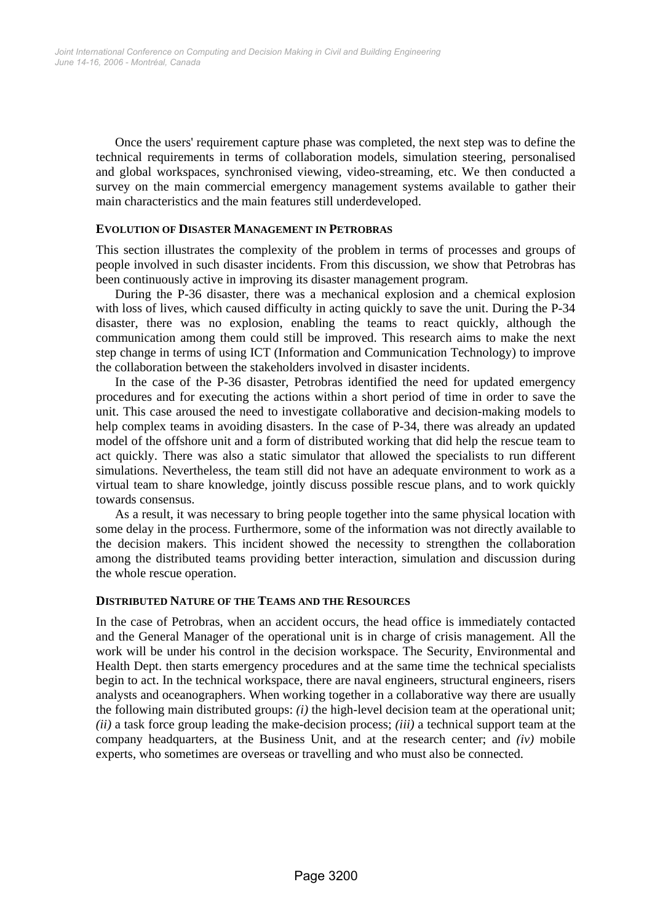Once the users' requirement capture phase was completed, the next step was to define the technical requirements in terms of collaboration models, simulation steering, personalised and global workspaces, synchronised viewing, video-streaming, etc. We then conducted a survey on the main commercial emergency management systems available to gather their main characteristics and the main features still underdeveloped.

#### **EVOLUTION OF DISASTER MANAGEMENT IN PETROBRAS**

This section illustrates the complexity of the problem in terms of processes and groups of people involved in such disaster incidents. From this discussion, we show that Petrobras has been continuously active in improving its disaster management program.

During the P-36 disaster, there was a mechanical explosion and a chemical explosion with loss of lives, which caused difficulty in acting quickly to save the unit. During the P-34 disaster, there was no explosion, enabling the teams to react quickly, although the communication among them could still be improved. This research aims to make the next step change in terms of using ICT (Information and Communication Technology) to improve the collaboration between the stakeholders involved in disaster incidents.

In the case of the P-36 disaster, Petrobras identified the need for updated emergency procedures and for executing the actions within a short period of time in order to save the unit. This case aroused the need to investigate collaborative and decision-making models to help complex teams in avoiding disasters. In the case of P-34, there was already an updated model of the offshore unit and a form of distributed working that did help the rescue team to act quickly. There was also a static simulator that allowed the specialists to run different simulations. Nevertheless, the team still did not have an adequate environment to work as a virtual team to share knowledge, jointly discuss possible rescue plans, and to work quickly towards consensus.

As a result, it was necessary to bring people together into the same physical location with some delay in the process. Furthermore, some of the information was not directly available to the decision makers. This incident showed the necessity to strengthen the collaboration among the distributed teams providing better interaction, simulation and discussion during the whole rescue operation.

#### **DISTRIBUTED NATURE OF THE TEAMS AND THE RESOURCES**

In the case of Petrobras, when an accident occurs, the head office is immediately contacted and the General Manager of the operational unit is in charge of crisis management. All the work will be under his control in the decision workspace. The Security, Environmental and Health Dept. then starts emergency procedures and at the same time the technical specialists begin to act. In the technical workspace, there are naval engineers, structural engineers, risers analysts and oceanographers. When working together in a collaborative way there are usually the following main distributed groups: *(i)* the high-level decision team at the operational unit; *(ii)* a task force group leading the make-decision process; *(iii)* a technical support team at the company headquarters, at the Business Unit, and at the research center; and *(iv)* mobile experts, who sometimes are overseas or travelling and who must also be connected.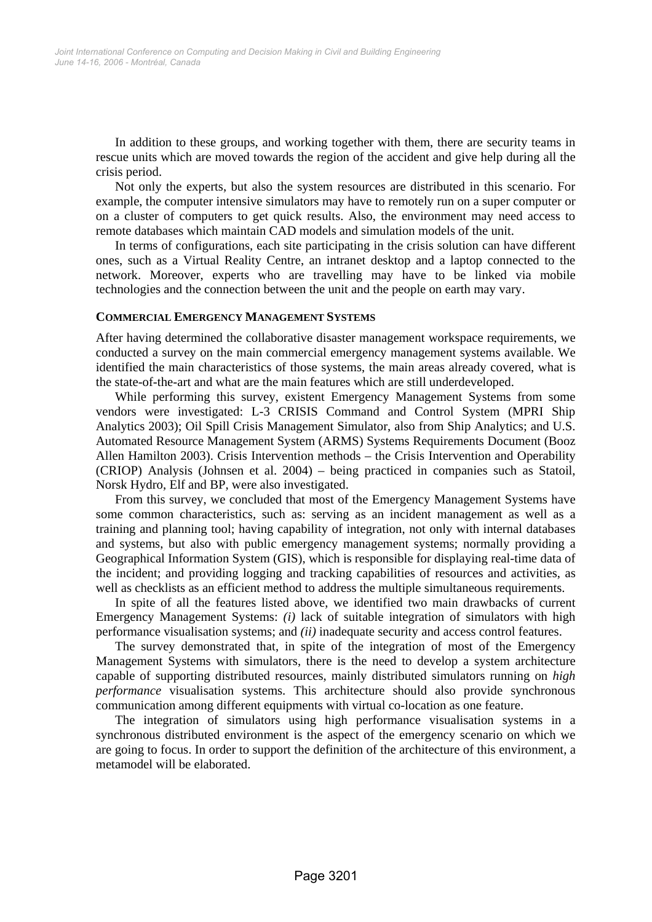In addition to these groups, and working together with them, there are security teams in rescue units which are moved towards the region of the accident and give help during all the crisis period.

Not only the experts, but also the system resources are distributed in this scenario. For example, the computer intensive simulators may have to remotely run on a super computer or on a cluster of computers to get quick results. Also, the environment may need access to remote databases which maintain CAD models and simulation models of the unit.

In terms of configurations, each site participating in the crisis solution can have different ones, such as a Virtual Reality Centre, an intranet desktop and a laptop connected to the network. Moreover, experts who are travelling may have to be linked via mobile technologies and the connection between the unit and the people on earth may vary.

#### **COMMERCIAL EMERGENCY MANAGEMENT SYSTEMS**

After having determined the collaborative disaster management workspace requirements, we conducted a survey on the main commercial emergency management systems available. We identified the main characteristics of those systems, the main areas already covered, what is the state-of-the-art and what are the main features which are still underdeveloped.

While performing this survey, existent Emergency Management Systems from some vendors were investigated: L-3 CRISIS Command and Control System (MPRI Ship Analytics 2003); Oil Spill Crisis Management Simulator, also from Ship Analytics; and U.S. Automated Resource Management System (ARMS) Systems Requirements Document (Booz Allen Hamilton 2003). Crisis Intervention methods – the Crisis Intervention and Operability (CRIOP) Analysis (Johnsen et al. 2004) – being practiced in companies such as Statoil, Norsk Hydro, Elf and BP, were also investigated.

From this survey, we concluded that most of the Emergency Management Systems have some common characteristics, such as: serving as an incident management as well as a training and planning tool; having capability of integration, not only with internal databases and systems, but also with public emergency management systems; normally providing a Geographical Information System (GIS), which is responsible for displaying real-time data of the incident; and providing logging and tracking capabilities of resources and activities, as well as checklists as an efficient method to address the multiple simultaneous requirements.

In spite of all the features listed above, we identified two main drawbacks of current Emergency Management Systems: *(i)* lack of suitable integration of simulators with high performance visualisation systems; and *(ii)* inadequate security and access control features.

The survey demonstrated that, in spite of the integration of most of the Emergency Management Systems with simulators, there is the need to develop a system architecture capable of supporting distributed resources, mainly distributed simulators running on *high performance* visualisation systems. This architecture should also provide synchronous communication among different equipments with virtual co-location as one feature.

The integration of simulators using high performance visualisation systems in a synchronous distributed environment is the aspect of the emergency scenario on which we are going to focus. In order to support the definition of the architecture of this environment, a metamodel will be elaborated.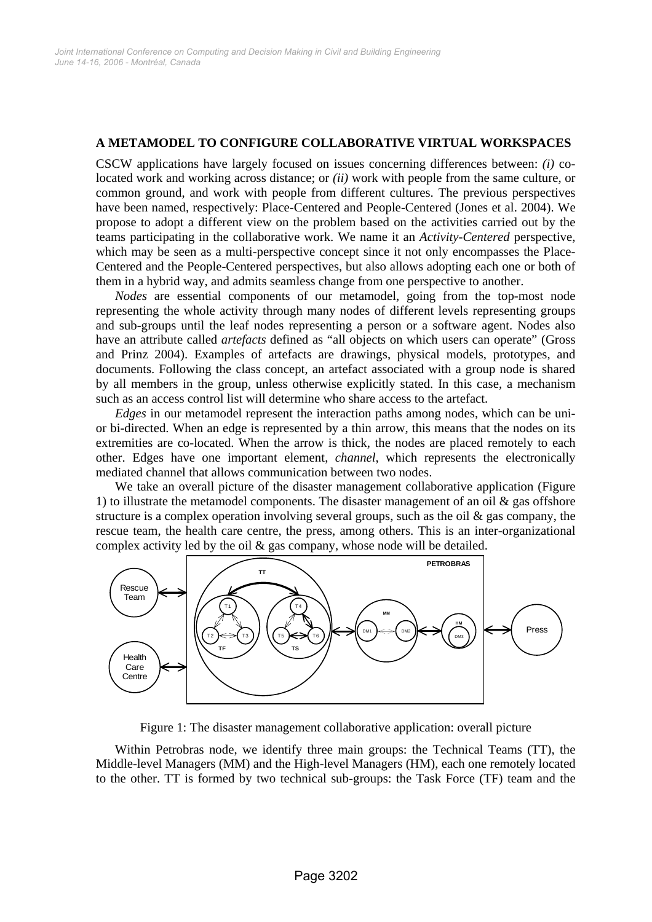### **A METAMODEL TO CONFIGURE COLLABORATIVE VIRTUAL WORKSPACES**

CSCW applications have largely focused on issues concerning differences between: *(i)* colocated work and working across distance; or *(ii)* work with people from the same culture, or common ground, and work with people from different cultures. The previous perspectives have been named, respectively: Place-Centered and People-Centered (Jones et al. 2004). We propose to adopt a different view on the problem based on the activities carried out by the teams participating in the collaborative work. We name it an *Activity-Centered* perspective, which may be seen as a multi-perspective concept since it not only encompasses the Place-Centered and the People-Centered perspectives, but also allows adopting each one or both of them in a hybrid way, and admits seamless change from one perspective to another.

*Nodes* are essential components of our metamodel, going from the top-most node representing the whole activity through many nodes of different levels representing groups and sub-groups until the leaf nodes representing a person or a software agent. Nodes also have an attribute called *artefacts* defined as "all objects on which users can operate" (Gross and Prinz 2004). Examples of artefacts are drawings, physical models, prototypes, and documents. Following the class concept, an artefact associated with a group node is shared by all members in the group, unless otherwise explicitly stated. In this case, a mechanism such as an access control list will determine who share access to the artefact.

*Edges* in our metamodel represent the interaction paths among nodes, which can be unior bi-directed. When an edge is represented by a thin arrow, this means that the nodes on its extremities are co-located. When the arrow is thick, the nodes are placed remotely to each other. Edges have one important element, *channel*, which represents the electronically mediated channel that allows communication between two nodes.

We take an overall picture of the disaster management collaborative application (Figure 1) to illustrate the metamodel components. The disaster management of an oil  $\&$  gas offshore structure is a complex operation involving several groups, such as the oil  $\&$  gas company, the rescue team, the health care centre, the press, among others. This is an inter-organizational complex activity led by the oil & gas company, whose node will be detailed.



Figure 1: The disaster management collaborative application: overall picture

Within Petrobras node, we identify three main groups: the Technical Teams (TT), the Middle-level Managers (MM) and the High-level Managers (HM), each one remotely located to the other. TT is formed by two technical sub-groups: the Task Force (TF) team and the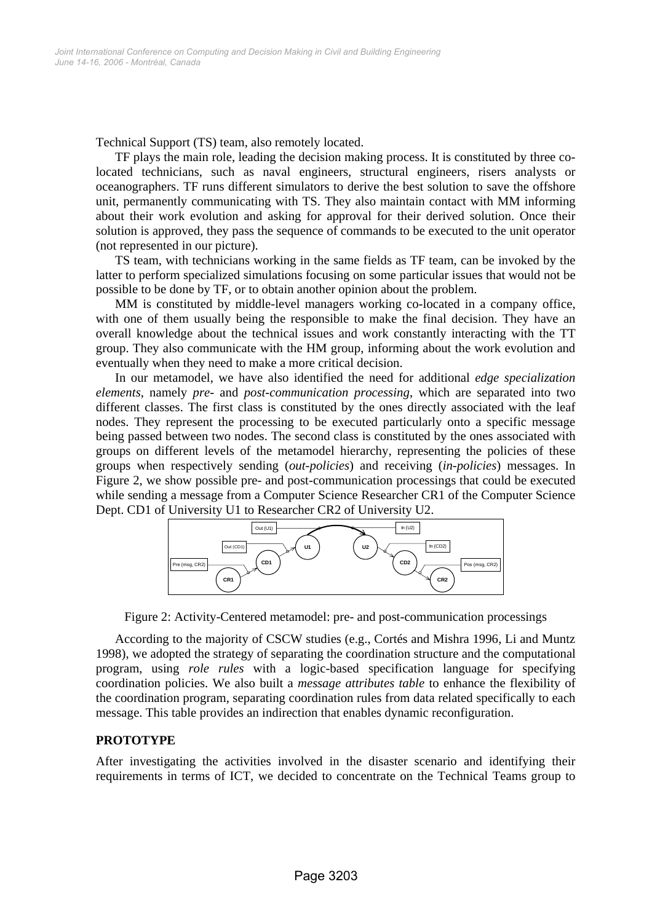Technical Support (TS) team, also remotely located.

TF plays the main role, leading the decision making process. It is constituted by three colocated technicians, such as naval engineers, structural engineers, risers analysts or oceanographers. TF runs different simulators to derive the best solution to save the offshore unit, permanently communicating with TS. They also maintain contact with MM informing about their work evolution and asking for approval for their derived solution. Once their solution is approved, they pass the sequence of commands to be executed to the unit operator (not represented in our picture).

TS team, with technicians working in the same fields as TF team, can be invoked by the latter to perform specialized simulations focusing on some particular issues that would not be possible to be done by TF, or to obtain another opinion about the problem.

MM is constituted by middle-level managers working co-located in a company office, with one of them usually being the responsible to make the final decision. They have an overall knowledge about the technical issues and work constantly interacting with the TT group. They also communicate with the HM group, informing about the work evolution and eventually when they need to make a more critical decision.

In our metamodel, we have also identified the need for additional *edge specialization elements*, namely *pre-* and *post-communication processing*, which are separated into two different classes. The first class is constituted by the ones directly associated with the leaf nodes. They represent the processing to be executed particularly onto a specific message being passed between two nodes. The second class is constituted by the ones associated with groups on different levels of the metamodel hierarchy, representing the policies of these groups when respectively sending (*out-policies*) and receiving (*in-policies*) messages. In Figure 2, we show possible pre- and post-communication processings that could be executed while sending a message from a Computer Science Researcher CR1 of the Computer Science Dept. CD1 of University U1 to Researcher CR2 of University U2.



Figure 2: Activity-Centered metamodel: pre- and post-communication processings

According to the majority of CSCW studies (e.g., Cortés and Mishra 1996, Li and Muntz 1998), we adopted the strategy of separating the coordination structure and the computational program, using *role rules* with a logic-based specification language for specifying coordination policies. We also built a *message attributes table* to enhance the flexibility of the coordination program, separating coordination rules from data related specifically to each message. This table provides an indirection that enables dynamic reconfiguration.

# **PROTOTYPE**

After investigating the activities involved in the disaster scenario and identifying their requirements in terms of ICT, we decided to concentrate on the Technical Teams group to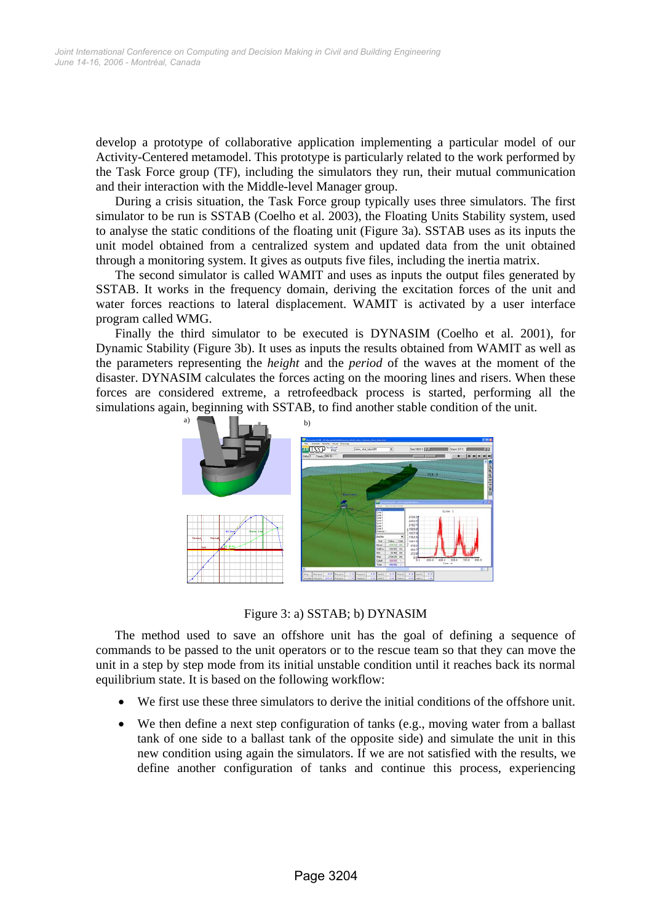develop a prototype of collaborative application implementing a particular model of our Activity-Centered metamodel. This prototype is particularly related to the work performed by the Task Force group (TF), including the simulators they run, their mutual communication and their interaction with the Middle-level Manager group.

During a crisis situation, the Task Force group typically uses three simulators. The first simulator to be run is SSTAB (Coelho et al. 2003), the Floating Units Stability system, used to analyse the static conditions of the floating unit (Figure 3a). SSTAB uses as its inputs the unit model obtained from a centralized system and updated data from the unit obtained through a monitoring system. It gives as outputs five files, including the inertia matrix.

The second simulator is called WAMIT and uses as inputs the output files generated by SSTAB. It works in the frequency domain, deriving the excitation forces of the unit and water forces reactions to lateral displacement. WAMIT is activated by a user interface program called WMG.

Finally the third simulator to be executed is DYNASIM (Coelho et al. 2001), for Dynamic Stability (Figure 3b). It uses as inputs the results obtained from WAMIT as well as the parameters representing the *height* and the *period* of the waves at the moment of the disaster. DYNASIM calculates the forces acting on the mooring lines and risers. When these forces are considered extreme, a retrofeedback process is started, performing all the simulations again, beginning with SSTAB, to find another stable condition of the unit.



Figure 3: a) SSTAB; b) DYNASIM

The method used to save an offshore unit has the goal of defining a sequence of commands to be passed to the unit operators or to the rescue team so that they can move the unit in a step by step mode from its initial unstable condition until it reaches back its normal equilibrium state. It is based on the following workflow:

- We first use these three simulators to derive the initial conditions of the offshore unit.
- We then define a next step configuration of tanks (e.g., moving water from a ballast tank of one side to a ballast tank of the opposite side) and simulate the unit in this new condition using again the simulators. If we are not satisfied with the results, we define another configuration of tanks and continue this process, experiencing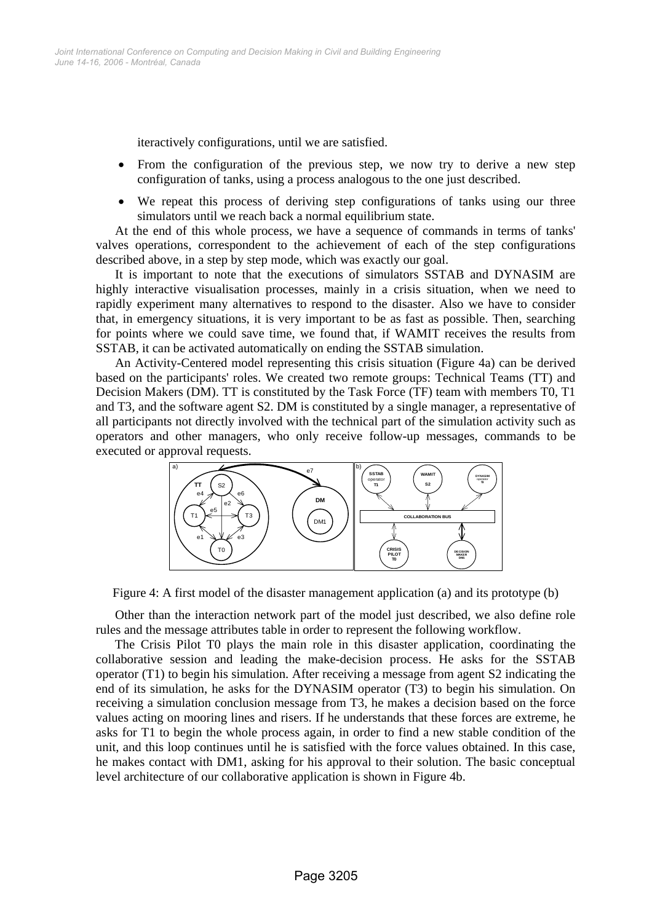iteractively configurations, until we are satisfied.

- From the configuration of the previous step, we now try to derive a new step configuration of tanks, using a process analogous to the one just described.
- We repeat this process of deriving step configurations of tanks using our three simulators until we reach back a normal equilibrium state.

At the end of this whole process, we have a sequence of commands in terms of tanks' valves operations, correspondent to the achievement of each of the step configurations described above, in a step by step mode, which was exactly our goal.

It is important to note that the executions of simulators SSTAB and DYNASIM are highly interactive visualisation processes, mainly in a crisis situation, when we need to rapidly experiment many alternatives to respond to the disaster. Also we have to consider that, in emergency situations, it is very important to be as fast as possible. Then, searching for points where we could save time, we found that, if WAMIT receives the results from SSTAB, it can be activated automatically on ending the SSTAB simulation.

An Activity-Centered model representing this crisis situation (Figure 4a) can be derived based on the participants' roles. We created two remote groups: Technical Teams (TT) and Decision Makers (DM). TT is constituted by the Task Force (TF) team with members T0, T1 and T3, and the software agent S2. DM is constituted by a single manager, a representative of all participants not directly involved with the technical part of the simulation activity such as operators and other managers, who only receive follow-up messages, commands to be executed or approval requests.



Figure 4: A first model of the disaster management application (a) and its prototype (b)

Other than the interaction network part of the model just described, we also define role rules and the message attributes table in order to represent the following workflow.

The Crisis Pilot T0 plays the main role in this disaster application, coordinating the collaborative session and leading the make-decision process. He asks for the SSTAB operator (T1) to begin his simulation. After receiving a message from agent S2 indicating the end of its simulation, he asks for the DYNASIM operator (T3) to begin his simulation. On receiving a simulation conclusion message from T3, he makes a decision based on the force values acting on mooring lines and risers. If he understands that these forces are extreme, he asks for T1 to begin the whole process again, in order to find a new stable condition of the unit, and this loop continues until he is satisfied with the force values obtained. In this case, he makes contact with DM1, asking for his approval to their solution. The basic conceptual level architecture of our collaborative application is shown in Figure 4b.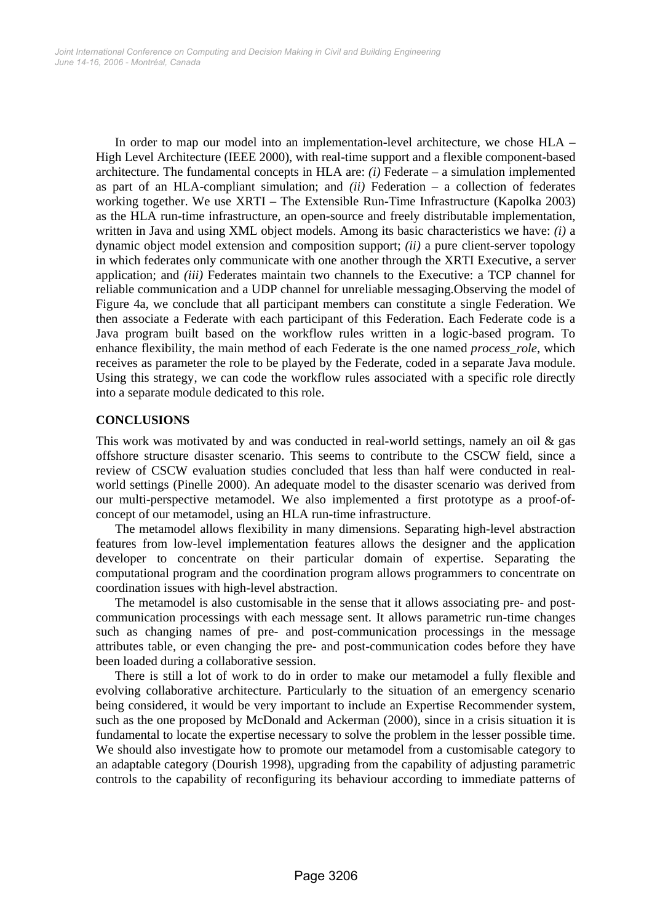In order to map our model into an implementation-level architecture, we chose HLA – High Level Architecture (IEEE 2000), with real-time support and a flexible component-based architecture. The fundamental concepts in HLA are:  $(i)$  Federate – a simulation implemented as part of an HLA-compliant simulation; and *(ii)* Federation – a collection of federates working together. We use XRTI – The Extensible Run-Time Infrastructure (Kapolka 2003) as the HLA run-time infrastructure, an open-source and freely distributable implementation, written in Java and using XML object models. Among its basic characteristics we have: *(i)* a dynamic object model extension and composition support; *(ii)* a pure client-server topology in which federates only communicate with one another through the XRTI Executive, a server application; and *(iii)* Federates maintain two channels to the Executive: a TCP channel for reliable communication and a UDP channel for unreliable messaging.Observing the model of Figure 4a, we conclude that all participant members can constitute a single Federation. We then associate a Federate with each participant of this Federation. Each Federate code is a Java program built based on the workflow rules written in a logic-based program. To enhance flexibility, the main method of each Federate is the one named *process\_role*, which receives as parameter the role to be played by the Federate, coded in a separate Java module. Using this strategy, we can code the workflow rules associated with a specific role directly into a separate module dedicated to this role.

# **CONCLUSIONS**

This work was motivated by and was conducted in real-world settings, namely an oil & gas offshore structure disaster scenario. This seems to contribute to the CSCW field, since a review of CSCW evaluation studies concluded that less than half were conducted in realworld settings (Pinelle 2000). An adequate model to the disaster scenario was derived from our multi-perspective metamodel. We also implemented a first prototype as a proof-ofconcept of our metamodel, using an HLA run-time infrastructure.

The metamodel allows flexibility in many dimensions. Separating high-level abstraction features from low-level implementation features allows the designer and the application developer to concentrate on their particular domain of expertise. Separating the computational program and the coordination program allows programmers to concentrate on coordination issues with high-level abstraction.

The metamodel is also customisable in the sense that it allows associating pre- and postcommunication processings with each message sent. It allows parametric run-time changes such as changing names of pre- and post-communication processings in the message attributes table, or even changing the pre- and post-communication codes before they have been loaded during a collaborative session.

There is still a lot of work to do in order to make our metamodel a fully flexible and evolving collaborative architecture. Particularly to the situation of an emergency scenario being considered, it would be very important to include an Expertise Recommender system, such as the one proposed by McDonald and Ackerman (2000), since in a crisis situation it is fundamental to locate the expertise necessary to solve the problem in the lesser possible time. We should also investigate how to promote our metamodel from a customisable category to an adaptable category (Dourish 1998), upgrading from the capability of adjusting parametric controls to the capability of reconfiguring its behaviour according to immediate patterns of